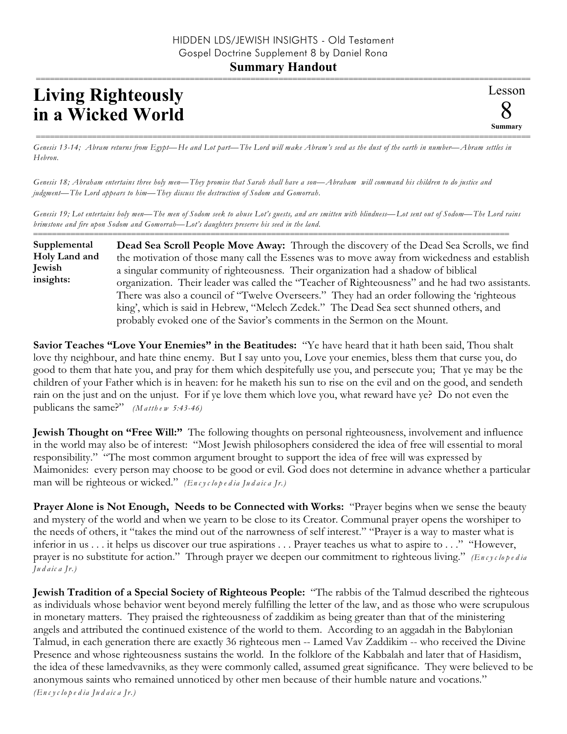## **Living Righteously in a Wicked World**

Lesson 8 **Summary** ==========================================================================================================

========================================================================================================== *Genesis 13-14; Abram returns from Egypt—He and Lot part—The Lord will make Abram's seed as the dust of the earth in number—Abram settles in Hebron.*

*Genesis 18; Abraham entertains three holy men—They promise that Sarah shall have a son—Abraham will command his children to do justice and judgment—The Lord appears to him—They discuss the destruction of Sodom and Gomorrah.*

*Genesis 19; Lot entertains holy men—The men of Sodom seek to abuse Lot's guests, and are smitten with blindness—Lot sent out of Sodom—The Lord rains brimstone and fire upon Sodom and Gomorrah—Lot's daughters preserve his seed in the land.*

======================================================================================================

**Dead Sea Scroll People Move Away:** Through the discovery of the Dead Sea Scrolls, we find the motivation of those many call the Essenes was to move away from wickedness and establish a singular community of righteousness. Their organization had a shadow of biblical organization. Their leader was called the "Teacher of Righteousness" and he had two assistants. There was also a council of "Twelve Overseers." They had an order following the 'righteous king', which is said in Hebrew, "Melech Zedek." The Dead Sea sect shunned others, and probably evoked one of the Savior's comments in the Sermon on the Mount. **Supplemental Holy Land and Jewish insights:**

**Savior Teaches "Love Your Enemies" in the Beatitudes:** "Ye have heard that it hath been said, Thou shalt love thy neighbour, and hate thine enemy. But I say unto you, Love your enemies, bless them that curse you, do good to them that hate you, and pray for them which despitefully use you, and persecute you; That ye may be the children of your Father which is in heaven: for he maketh his sun to rise on the evil and on the good, and sendeth rain on the just and on the unjust. For if ye love them which love you, what reward have ye? Do not even the publicans the same?"  $(M \text{ at the } w \text{ 5:43-46})$ 

**Jewish Thought on "Free Will:"** The following thoughts on personal righteousness, involvement and influence in the world may also be of interest: "Most Jewish philosophers considered the idea of free will essential to moral responsibility." "The most common argument brought to support the idea of free will was expressed by Maimonides: every person may choose to be good or evil. God does not determine in advance whether a particular man will be righteous or wicked." *(En c y c lo p e d ia Ju d a ic a Jr.)*

**Prayer Alone is Not Enough, Needs to be Connected with Works:** "Prayer begins when we sense the beauty and mystery of the world and when we yearn to be close to its Creator. Communal prayer opens the worshiper to the needs of others, it "takes the mind out of the narrowness of self interest." "Prayer is a way to master what is inferior in us . . . it helps us discover our true aspirations . . . Prayer teaches us what to aspire to . . ." "However, prayer is no substitute for action." Through prayer we deepen our commitment to righteous living." *(En c y c lope d ia Ju d a ic a Jr.)*

**Jewish Tradition of a Special Society of Righteous People:** "The rabbis of the Talmud described the righteous as individuals whose behavior went beyond merely fulfilling the letter of the law, and as those who were scrupulous in monetary matters. They praised the righteousness of zaddikim as being greater than that of the ministering angels and attributed the continued existence of the world to them. According to an aggadah in the Babylonian Talmud, in each generation there are exactly 36 righteous men -- Lamed Vav Zaddikim -- who received the Divine Presence and whose righteousness sustains the world. In the folklore of the Kabbalah and later that of Hasidism, the idea of these lamedvavniks, as they were commonly called, assumed great significance. They were believed to be anonymous saints who remained unnoticed by other men because of their humble nature and vocations."

*(En c y c lo p e d ia Ju d a ic a Jr.)*